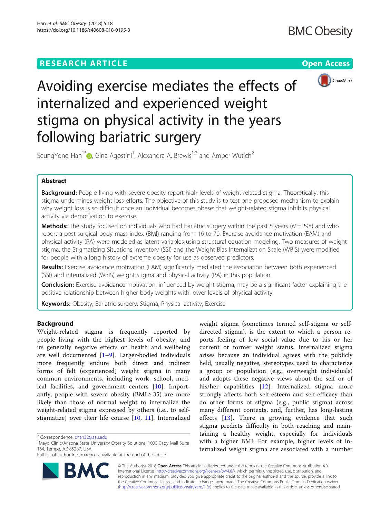# **RESEARCH ARTICLE Example 2014 CONSUMING A RESEARCH ARTICLE**



# Avoiding exercise mediates the effects of internalized and experienced weight stigma on physical activity in the years following bariatric surgery

SeungYong Han $^{1*}$   $\text{\textcircled{\textcirc}}$ [,](http://orcid.org/0000-0002-8389-2766) Gina Agostini<sup>1</sup>, Alexandra A. Brewis<sup>1,2</sup> and Amber Wutich<sup>2</sup>

# Abstract

Background: People living with severe obesity report high levels of weight-related stigma. Theoretically, this stigma undermines weight loss efforts. The objective of this study is to test one proposed mechanism to explain why weight loss is so difficult once an individual becomes obese: that weight-related stigma inhibits physical activity via demotivation to exercise.

**Methods:** The study focused on individuals who had bariatric surgery within the past 5 years ( $N = 298$ ) and who report a post-surgical body mass index (BMI) ranging from 16 to 70. Exercise avoidance motivation (EAM) and physical activity (PA) were modeled as latent variables using structural equation modeling. Two measures of weight stigma, the Stigmatizing Situations Inventory (SSI) and the Weight Bias Internalization Scale (WBIS) were modified for people with a long history of extreme obesity for use as observed predictors.

Results: Exercise avoidance motivation (EAM) significantly mediated the association between both experienced (SSI) and internalized (WBIS) weight stigma and physical activity (PA) in this population.

Conclusion: Exercise avoidance motivation, influenced by weight stigma, may be a significant factor explaining the positive relationship between higher body weights with lower levels of physical activity.

Keywords: Obesity, Bariatric surgery, Stigma, Physical activity, Exercise

# Background

Weight-related stigma is frequently reported by people living with the highest levels of obesity, and its generally negative effects on health and wellbeing are well documented [[1](#page-7-0)–[9\]](#page-7-0). Larger-bodied individuals more frequently endure both direct and indirect forms of felt (experienced) weight stigma in many common environments, including work, school, medical facilities, and government centers [\[10](#page-7-0)]. Importantly, people with severe obesity ( $BMI \geq 35$ ) are more likely than those of normal weight to internalize the weight-related stigma expressed by others (i.e., to selfstigmatize) over their life course [\[10](#page-7-0), [11\]](#page-7-0). Internalized

BA

Full list of author information is available at the end of the article



weight stigma (sometimes termed self-stigma or self-

© The Author(s). 2018 Open Access This article is distributed under the terms of the Creative Commons Attribution 4.0 International License [\(http://creativecommons.org/licenses/by/4.0/](http://creativecommons.org/licenses/by/4.0/)), which permits unrestricted use, distribution, and reproduction in any medium, provided you give appropriate credit to the original author(s) and the source, provide a link to the Creative Commons license, and indicate if changes were made. The Creative Commons Public Domain Dedication waiver [\(http://creativecommons.org/publicdomain/zero/1.0/](http://creativecommons.org/publicdomain/zero/1.0/)) applies to the data made available in this article, unless otherwise stated.

<sup>\*</sup> Correspondence: [shan32@asu.edu](mailto:shan32@asu.edu) <sup>1</sup>

<sup>&</sup>lt;sup>1</sup>Mayo Clinic/Arizona State University Obesity Solutions, 1000 Cady Mall Suite 164, Tempe, AZ 85287, USA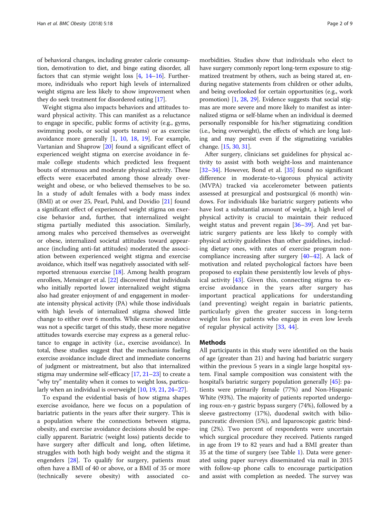of behavioral changes, including greater calorie consumption, demotivation to diet, and binge eating disorder, all factors that can stymie weight loss  $[4, 14-16]$  $[4, 14-16]$  $[4, 14-16]$  $[4, 14-16]$  $[4, 14-16]$  $[4, 14-16]$  $[4, 14-16]$ . Furthermore, individuals who report high levels of internalized weight stigma are less likely to show improvement when they do seek treatment for disordered eating [[17](#page-7-0)].

Weight stigma also impacts behaviors and attitudes toward physical activity. This can manifest as a reluctance to engage in specific, public forms of activity (e.g., gyms, swimming pools, or social sports teams) or as exercise avoidance more generally [[1,](#page-7-0) [10](#page-7-0), [18,](#page-7-0) [19](#page-7-0)]. For example, Vartanian and Shaprow [\[20](#page-7-0)] found a significant effect of experienced weight stigma on exercise avoidance in female college students which predicted less frequent bouts of strenuous and moderate physical activity. These effects were exacerbated among those already overweight and obese, or who believed themselves to be so. In a study of adult females with a body mass index (BMI) at or over 25, Pearl, Puhl, and Dovidio [\[21](#page-7-0)] found a significant effect of experienced weight stigma on exercise behavior and, further, that internalized weight stigma partially mediated this association. Similarly, among males who perceived themselves as overweight or obese, internalized societal attitudes toward appearance (including anti-fat attitudes) moderated the association between experienced weight stigma and exercise avoidance, which itself was negatively associated with selfreported strenuous exercise [[18](#page-7-0)]. Among health program enrollees, Mensinger et al. [\[22\]](#page-7-0) discovered that individuals who initially reported lower internalized weight stigma also had greater enjoyment of and engagement in moderate intensity physical activity (PA) while those individuals with high levels of internalized stigma showed little change to either over 6 months. While exercise avoidance was not a specific target of this study, these more negative attitudes towards exercise may express as a general reluctance to engage in activity (i.e., exercise avoidance). In total, these studies suggest that the mechanisms fueling exercise avoidance include direct and immediate concerns of judgment or mistreatment, but also that internalized stigma may undermine self-efficacy  $[17, 21-23]$  $[17, 21-23]$  $[17, 21-23]$  $[17, 21-23]$  $[17, 21-23]$  $[17, 21-23]$  to create a "why try" mentality when it comes to weight loss, particularly when an individual is overweight [\[10](#page-7-0), [19](#page-7-0), [21,](#page-7-0) [24](#page-7-0)–[27\]](#page-7-0).

To expand the evidential basis of how stigma shapes exercise avoidance, here we focus on a population of bariatric patients in the years after their surgery. This is a population where the connections between stigma, obesity, and exercise avoidance decisions should be especially apparent. Bariatric (weight loss) patients decide to have surgery after difficult and long, often lifetime, struggles with both high body weight and the stigma it engenders [[28\]](#page-8-0). To qualify for surgery, patients must often have a BMI of 40 or above, or a BMI of 35 or more (technically severe obesity) with associated co-

morbidities. Studies show that individuals who elect to have surgery commonly report long-term exposure to stigmatized treatment by others, such as being stared at, enduring negative statements from children or other adults, and being overlooked for certain opportunities (e.g., work promotion) [\[1,](#page-7-0) [28](#page-8-0), [29](#page-8-0)]. Evidence suggests that social stigmas are more severe and more likely to manifest as internalized stigma or self-blame when an individual is deemed personally responsible for his/her stigmatizing condition (i.e., being overweight), the effects of which are long lasting and may persist even if the stigmatizing variables change. [\[15](#page-7-0), [30](#page-8-0), [31\]](#page-8-0).

After surgery, clinicians set guidelines for physical activity to assist with both weight-loss and maintenance [[32](#page-8-0)–[34](#page-8-0)]. However, Bond et al. [[35](#page-8-0)] found no significant difference in moderate-to-vigorous physical activity (MVPA) tracked via accelerometer between patients assessed at presurgical and postsurgical (6 month) windows. For individuals like bariatric surgery patients who have lost a substantial amount of weight, a high level of physical activity is crucial to maintain their reduced weight status and prevent regain [[36](#page-8-0)–[39](#page-8-0)]. And yet bariatric surgery patients are less likely to comply with physical activity guidelines than other guidelines, including dietary ones, with rates of exercise program noncompliance increasing after surgery [[40](#page-8-0)–[42](#page-8-0)]. A lack of motivation and related psychological factors have been proposed to explain these persistently low levels of physical activity  $[43]$  $[43]$  $[43]$ . Given this, connecting stigma to exercise avoidance in the years after surgery has important practical applications for understanding (and preventing) weight regain in bariatric patients, particularly given the greater success in long-term weight loss for patients who engage in even low levels of regular physical activity [\[33](#page-8-0), [44\]](#page-8-0).

#### Methods

All participants in this study were identified on the basis of age (greater than 21) and having had bariatric surgery within the previous 5 years in a single large hospital system. Final sample composition was consistent with the hospital's bariatric surgery population generally [[45\]](#page-8-0): patients were primarily female (77%) and Non-Hispanic White (93%). The majority of patients reported undergoing roux-en-y gastric bypass surgery (74%), followed by a sleeve gastrectomy (17%), duodenal switch with biliopancreatic diversion (5%), and laparoscopic gastric binding (2%). Two percent of respondents were uncertain which surgical procedure they received. Patients ranged in age from 19 to 82 years and had a BMI greater than 35 at the time of surgery (see Table [1](#page-2-0)). Data were generated using paper surveys disseminated via mail in 2015 with follow-up phone calls to encourage participation and assist with completion as needed. The survey was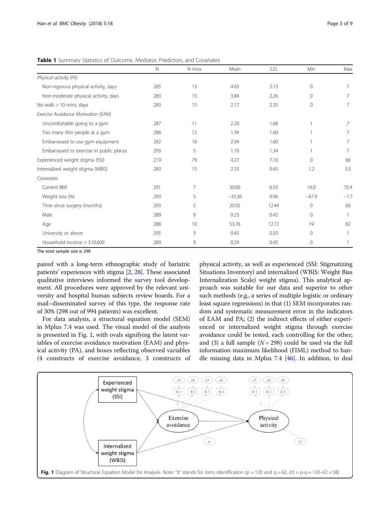N N miss Mean S.D. Min Max Physical activity (PA) Non-vigorous physical activity, days 285 213 4.65 2.13 0 7 Non-moderate physical activity, days 283 15 3.84 2.26 0 7 No walk > 10 mins, days 283 283 15 2.17 2.35 0 7 Exercise Avoidance Motivation (EAM) Uncomfortable going to a gym and the state of the community of the community of the community of the community of the community of the community of the community of the community of the community of the community of the co Too many thin people at a gym and the set of the set of the set of the set of the set of the set of the set of the set of the set of the set of the set of the set of the set of the set of the set of the set of the set of t Embarrassed to use gym equipment  $282$  16 2.04 1.60 1 7 Embarrassed to exercise in public places and the control of the 293 5 1.70 1.34 1 1 7 7 Experienced weight stigma (SSI) 219 79 4.27 7.10 0 66 Internalized weight stigma (WBIS) 283 15 2.33 0.45 1.2 3.5 Covariates Current BMI 291 7 30.60 6.53 16.0 70.4 Weight loss (%) 293 5 −33.36 9.96 −67.9 −1.7 Time since surgery (months) 293 5 20.92 12.44 0 60 Male 289 9 0.23 0.42 0 1 Age 288 10 53.76 12.72 19 82 University or above 295 3 0.45 0.50 0 1

Household income > \$10,000 00 289 9 0.29 0.45 0 1

<span id="page-2-0"></span>Table 1 Summary Statistics of Outcome, Mediator, Predictors, and Covariates

The total sample size is 298

paired with a long-term ethnographic study of bariatric patients' experiences with stigma [\[2](#page-7-0), [28\]](#page-8-0). These associated qualitative interviews informed the survey tool development. All procedures were approved by the relevant university and hospital human subjects review boards. For a mail–disseminated survey of this type, the response rate of 30% (298 out of 994 patients) was excellent.

For data analysis, a structural equation model (SEM) in Mplus 7.4 was used. The visual model of the analysis is presented in Fig. 1, with ovals signifying the latent variables of exercise avoidance motivation (EAM) and physical activity (PA), and boxes reflecting observed variables (4 constructs of exercise avoidance, 3 constructs of

physical activity, as well as experienced (SSI: Stigmatizing Situations Inventory) and internalized (WBIS: Weight Bias Internalization Scale) weight stigma). This analytical approach was suitable for our data and superior to other such methods (e.g., a series of multiple logistic or ordinary least square regressions) in that (1) SEM incorporates random and systematic measurement error in the indicators of EAM and PA; (2) the indirect effects of either experienced or internalized weight stigma through exercise avoidance could be tested, each controlling for the other; and (3) a full sample ( $N = 298$ ) could be used via the full information maximum likelihood (FIML) method to handle missing data in Mplus 7.4 [\[46\]](#page-8-0). In addition, to deal

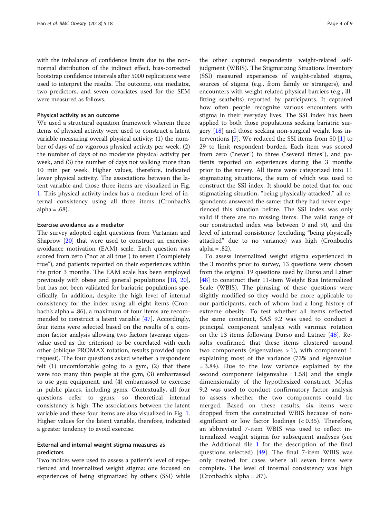with the imbalance of confidence limits due to the nonnormal distribution of the indirect effect, bias-corrected bootstrap confidence intervals after 5000 replications were used to interpret the results. The outcome, one mediator, two predictors, and seven covariates used for the SEM were measured as follows.

#### Physical activity as an outcome

We used a structural equation framework wherein three items of physical activity were used to construct a latent variable measuring overall physical activity: (1) the number of days of no vigorous physical activity per week, (2) the number of days of no moderate physical activity per week, and (3) the number of days not walking more than 10 min per week. Higher values, therefore, indicated lower physical activity. The associations between the latent variable and those three items are visualized in Fig. [1.](#page-2-0) This physical activity index has a medium level of internal consistency using all three items (Cronbach's alpha =  $.68$ ).

# Exercise avoidance as a mediator

The survey adopted eight questions from Vartanian and Shaprow [[20\]](#page-7-0) that were used to construct an exerciseavoidance motivation (EAM) scale. Each question was scored from zero ("not at all true") to seven ("completely true"), and patients reported on their experiences within the prior 3 months. The EAM scale has been employed previously with obese and general populations [\[18](#page-7-0), [20](#page-7-0)], but has not been validated for bariatric populations specifically. In addition, despite the high level of internal consistency for the index using all eight items (Cronbach's alpha = .86), a maximum of four items are recommended to construct a latent variable [\[47](#page-8-0)]. Accordingly, four items were selected based on the results of a common factor analysis allowing two factors (average eigenvalue used as the criterion) to be correlated with each other (oblique PROMAX rotation, results provided upon request). The four questions asked whether a respondent felt (1) uncomfortable going to a gym, (2) that there were too many thin people at the gym, (3) embarrassed to use gym equipment, and (4) embarrassed to exercise in public places, including gyms. Contextually, all four questions refer to gyms, so theoretical internal consistency is high. The associations between the latent variable and these four items are also visualized in Fig. [1](#page-2-0). Higher values for the latent variable, therefore, indicated a greater tendency to avoid exercise.

# External and internal weight stigma measures as predictors

Two indices were used to assess a patient's level of experienced and internalized weight stigma: one focused on experiences of being stigmatized by others (SSI) while

the other captured respondents' weight-related selfjudgment (WBIS). The Stigmatizing Situations Inventory (SSI) measured experiences of weight-related stigma, sources of stigma (e.g., from family or strangers), and encounters with weight-related physical barriers (e.g., illfitting seatbelts) reported by participants. It captured how often people recognize various encounters with stigma in their everyday lives. The SSI index has been applied to both those populations seeking bariatric surgery [[18\]](#page-7-0) and those seeking non-surgical weight loss interventions [[7\]](#page-7-0). We reduced the SSI items from 50 [\[1](#page-7-0)] to 29 to limit respondent burden. Each item was scored from zero ("never") to three ("several times"), and patients reported on experiences during the 3 months prior to the survey. All items were categorized into 11 stigmatizing situations, the sum of which was used to construct the SSI index. It should be noted that for one stigmatizing situation, "being physically attacked," all respondents answered the same: that they had never experienced this situation before. The SSI index was only valid if there are no missing items. The valid range of our constructed index was between 0 and 90, and the level of internal consistency (excluding "being physically attacked" due to no variance) was high (Cronbach's alpha =  $.82$ ).

To assess internalized weight stigma experienced in the 3 months prior to survey, 13 questions were chosen from the original 19 questions used by Durso and Latner [[48\]](#page-8-0) to construct their 11-item Weight Bias Internalized Scale (WBIS). The phrasing of these questions were slightly modified so they would be more applicable to our participants, each of whom had a long history of extreme obesity. To test whether all items reflected the same construct, SAS 9.2 was used to conduct a principal component analysis with varimax rotation on the 13 items following Durso and Latner [[48\]](#page-8-0). Results confirmed that these items clustered around two components (eigenvalues  $> 1$ ), with component 1 explaining most of the variance (73% and eigenvalue = 3.84). Due to the low variance explained by the second component (eigenvalue  $= 1.58$ ) and the single dimensionality of the hypothesized construct, Mplus 9.2 was used to conduct confirmatory factor analysis to assess whether the two components could be merged. Based on these results, six items were dropped from the constructed WBIS because of nonsignificant or low factor loadings (< 0.35). Therefore, an abbreviated 7-item WBIS was used to reflect internalized weight stigma for subsequent analyses (see the Additional file [1](#page-7-0) for the description of the final questions selected) [[49](#page-8-0)]. The final 7-item WBIS was only created for cases where all seven items were complete. The level of internal consistency was high (Cronbach's alpha = .87).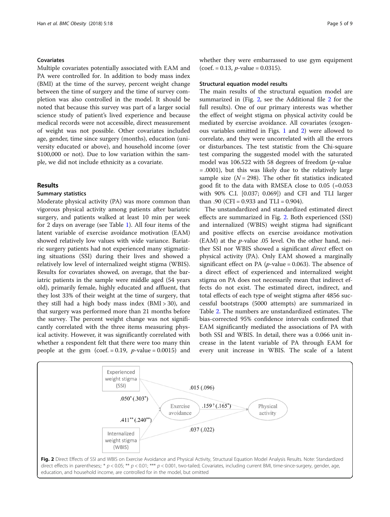# <span id="page-4-0"></span>Covariates

Multiple covariates potentially associated with EAM and PA were controlled for. In addition to body mass index (BMI) at the time of the survey, percent weight change between the time of surgery and the time of survey completion was also controlled in the model. It should be noted that because this survey was part of a larger social science study of patient's lived experience and because medical records were not accessible, direct measurement of weight was not possible. Other covariates included age, gender, time since surgery (months), education (university educated or above), and household income (over \$100,000 or not). Due to low variation within the sample, we did not include ethnicity as a covariate.

# Results

# Summary statistics

Moderate physical activity (PA) was more common than vigorous physical activity among patients after bariatric surgery, and patients walked at least 10 min per week for 2 days on average (see Table [1\)](#page-2-0). All four items of the latent variable of exercise avoidance motivation (EAM) showed relatively low values with wide variance. Bariatric surgery patients had not experienced many stigmatizing situations (SSI) during their lives and showed a relatively low level of internalized weight stigma (WBIS). Results for covariates showed, on average, that the bariatric patients in the sample were middle aged (54 years old), primarily female, highly educated and affluent, that they lost 33% of their weight at the time of surgery, that they still had a high body mass index (BMI > 30), and that surgery was performed more than 21 months before the survey. The percent weight change was not significantly correlated with the three items measuring physical activity. However, it was significantly correlated with whether a respondent felt that there were too many thin people at the gym (coef.  $= 0.19$ , *p*-value  $= 0.0015$ ) and whether they were embarrassed to use gym equipment  $(coef. = 0.13, p-value = 0.0315).$ 

#### Structural equation model results

The main results of the structural equation model are summarized in (Fig. 2, see the Additional file [2](#page-7-0) for the full results). One of our primary interests was whether the effect of weight stigma on physical activity could be mediated by exercise avoidance. All covariates (exogenous variables omitted in Figs. [1](#page-2-0) and 2) were allowed to correlate, and they were uncorrelated with all the errors or disturbances. The test statistic from the Chi-square test comparing the suggested model with the saturated model was 106.522 with 58 degrees of freedom (p-value = .0001), but this was likely due to the relatively large sample size  $(N = 298)$ . The other fit statistics indicated good fit to the data with RMSEA close to 0.05 (=0.053 with 90% C.I. [0.037; 0.069]) and CFI and TLI larger than .90 (CFI =  $0.933$  and TLI =  $0.904$ ).

The unstandardized and standardized estimated direct effects are summarized in Fig. 2. Both experienced (SSI) and internalized (WBIS) weight stigma had significant and positive effects on exercise avoidance motivation  $(EAM)$  at the *p*-value .05 level. On the other hand, neither SSI nor WBIS showed a significant *direct* effect on physical activity (PA). Only EAM showed a marginally significant effect on PA ( $p$ -value = 0.063). The absence of a direct effect of experienced and internalized weight stigma on PA does not necessarily mean that indirect effects do not exist. The estimated direct, indirect, and total effects of each type of weight stigma after 4856 successful bootstraps (5000 attempts) are summarized in Table [2.](#page-5-0) The numbers are unstandardized estimates. The bias-corrected 95% confidence intervals confirmed that EAM significantly mediated the associations of PA with both SSI and WBIS. In detail, there was a 0.066 unit increase in the latent variable of PA through EAM for every unit increase in WBIS. The scale of a latent

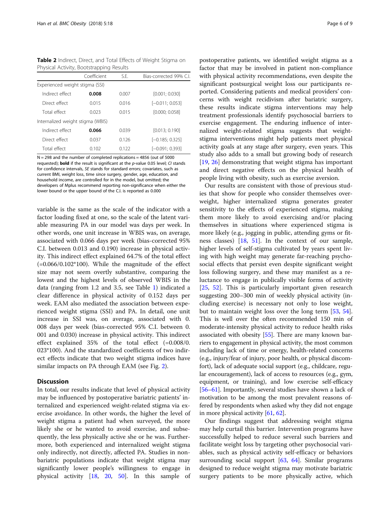<span id="page-5-0"></span>Table 2 Indirect, Direct, and Total Effects of Weight Stigma on Physical Activity, Bootstrapping Results

|                                   | Coefficient | S.F.  | Bias-corrected 99% C.L |
|-----------------------------------|-------------|-------|------------------------|
| Experienced weight stigma (SSI)   |             |       |                        |
| Indirect effect                   | 0.008       | 0.007 | [0.001; 0.030]         |
| Direct effect                     | 0.015       | 0016  | $[-0.011; 0.053]$      |
| Total effect                      | 0.023       | 0015  | [0.000: 0.058]         |
| Internalized weight stigma (WBIS) |             |       |                        |
| Indirect effect                   | 0.066       | 0.039 | [0.013:0.190]          |
| Direct effect                     | 0.037       | 0126  | $[-0.185; 0.325]$      |
| Total effect                      | 0.102       | 0.122 | $[-0.091; 0.393]$      |

 $N = 298$  and the number of completed replications = 4856 (out of 5000) requested); bold if the result is significant at the  $p$ -value 0.05 level; CI stands for confidence intervals, SE stands for standard errors; covariates, such as current BMI, weight loss, time since surgery, gender, age, education, and household income, are controlled for in the model, but omitted; the developers of Mplus recommend reporting non-significance when either the lower bound or the upper bound of the C.I. is reported as 0.000

variable is the same as the scale of the indicator with a factor loading fixed at one, so the scale of the latent variable measuring PA in our model was days per week. In other words, one unit increase in WBIS was, on average, associated with 0.066 days per week (bias-corrected 95% C.I. between 0.013 and 0.190) increase in physical activity. This indirect effect explained 64.7% of the total effect  $(=0.066/0.102*100)$ . While the magnitude of the effect size may not seem overtly substantive, comparing the lowest and the highest levels of observed WBIS in the data (ranging from 1.2 and 3.5, see Table [1](#page-2-0)) indicated a clear difference in physical activity of 0.152 days per week. EAM also mediated the association between experienced weight stigma (SSI) and PA. In detail, one unit increase in SSI was, on average, associated with 0. 008 days per week (bias-corrected 95% C.I. between 0. 001 and 0.030) increase in physical activity. This indirect effect explained 35% of the total effect (=0.008/0. 023\*100). And the standardized coefficients of two indirect effects indicate that two weight stigma indices have similar impacts on PA through EAM (see Fig. [2\)](#page-4-0).

# **Discussion**

In total, our results indicate that level of physical activity may be influenced by postoperative bariatric patients' internalized and experienced weight-related stigma via exercise avoidance. In other words, the higher the level of weight stigma a patient had when surveyed, the more likely she or he wanted to avoid exercise, and subsequently, the less physically active she or he was. Furthermore, both experienced and internalized weight stigma only indirectly, not directly, affected PA. Studies in nonbariatric populations indicate that weight stigma may significantly lower people's willingness to engage in physical activity [\[18,](#page-7-0) [20,](#page-7-0) [50](#page-8-0)]. In this sample of

postoperative patients, we identified weight stigma as a factor that may be involved in patient non-compliance with physical activity recommendations, even despite the significant postsurgical weight loss our participants reported. Considering patients and medical providers' concerns with weight recidivism after bariatric surgery, these results indicate stigma interventions may help treatment professionals identify psychosocial barriers to exercise engagement. The enduring influence of internalized weight-related stigma suggests that weightstigma interventions might help patients meet physical activity goals at any stage after surgery, even years. This study also adds to a small but growing body of research [[19,](#page-7-0) [26\]](#page-7-0) demonstrating that weight stigma has important and direct negative effects on the physical health of people living with obesity, such as exercise aversion.

Our results are consistent with those of previous studies that show for people who consider themselves overweight, higher internalized stigma generates greater sensitivity to the effects of experienced stigma, making them more likely to avoid exercising and/or placing themselves in situations where experienced stigma is more likely (e.g., jogging in public, attending gyms or fitness classes) [[18,](#page-7-0) [51](#page-8-0)]. In the context of our sample, higher levels of self-stigma cultivated by years spent living with high weight may generate far-reaching psychosocial effects that persist even despite significant weight loss following surgery, and these may manifest as a reluctance to engage in publically visible forms of activity [[25,](#page-7-0) [52\]](#page-8-0). This is particularly important given research suggesting 200–300 min of weekly physical activity (including exercise) is necessary not only to lose weight, but to maintain weight loss over the long term [[53,](#page-8-0) [54](#page-8-0)]. This is well over the often recommended 150 min of moderate-intensity physical activity to reduce health risks associated with obesity [\[55](#page-8-0)]. There are many known barriers to engagement in physical activity, the most common including lack of time or energy, health-related concerns (e.g., injury/fear of injury, poor health, or physical discomfort), lack of adequate social support (e.g., childcare, regular encouragement), lack of access to resources (e.g., gym, equipment, or training), and low exercise self-efficacy [[56](#page-8-0)–[61\]](#page-8-0). Importantly, several studies have shown a lack of motivation to be among the most prevalent reasons offered by respondents when asked why they did not engage in more physical activity [[61](#page-8-0), [62](#page-8-0)].

Our findings suggest that addressing weight stigma may help curtail this barrier. Intervention programs have successfully helped to reduce several such barriers and facilitate weight loss by targeting other psychosocial variables, such as physical activity self-efficacy or behaviors surrounding social support [\[63,](#page-8-0) [64](#page-8-0)]. Similar programs designed to reduce weight stigma may motivate bariatric surgery patients to be more physically active, which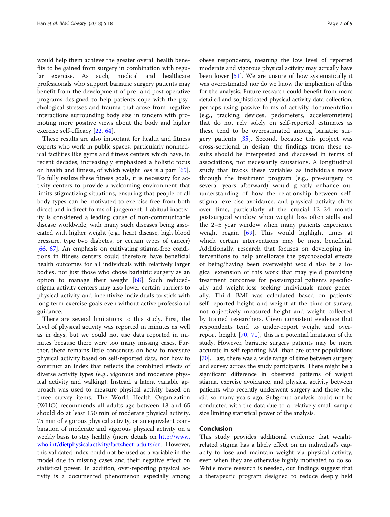would help them achieve the greater overall health benefits to be gained from surgery in combination with regular exercise. As such, medical and healthcare professionals who support bariatric surgery patients may benefit from the development of pre- and post-operative programs designed to help patients cope with the psychological stresses and trauma that arose from negative interactions surrounding body size in tandem with promoting more positive views about the body and higher exercise self-efficacy [[22](#page-7-0), [64](#page-8-0)].

These results are also important for health and fitness experts who work in public spaces, particularly nonmedical facilities like gyms and fitness centers which have, in recent decades, increasingly emphasized a holistic focus on health and fitness, of which weight loss is a part [\[65](#page-8-0)]. To fully realize these fitness goals, it is necessary for activity centers to provide a welcoming environment that limits stigmatizing situations, ensuring that people of all body types can be motivated to exercise free from both direct and indirect forms of judgement. Habitual inactivity is considered a leading cause of non-communicable disease worldwide, with many such diseases being associated with higher weight (e.g., heart disease, high blood pressure, type two diabetes, or certain types of cancer) [[66,](#page-8-0) [67\]](#page-8-0). An emphasis on cultivating stigma-free conditions in fitness centers could therefore have beneficial health outcomes for all individuals with relatively larger bodies, not just those who chose bariatric surgery as an option to manage their weight [[68\]](#page-8-0). Such reducedstigma activity centers may also lower certain barriers to physical activity and incentivize individuals to stick with long-term exercise goals even without active professional guidance.

There are several limitations to this study. First, the level of physical activity was reported in minutes as well as in days, but we could not use data reported in minutes because there were too many missing cases. Further, there remains little consensus on how to measure physical activity based on self-reported data, nor how to construct an index that reflects the combined effects of diverse activity types (e.g., vigorous and moderate physical activity and walking). Instead, a latent variable approach was used to measure physical activity based on three survey items. The World Health Organization (WHO) recommends all adults age between 18 and 65 should do at least 150 min of moderate physical activity, 75 min of vigorous physical activity, or an equivalent combination of moderate and vigorous physical activity on a weekly basis to stay healthy (more details on [http://www.](http://www.who.int/dietphysicalactivity/factsheet_adults/en) [who.int/dietphysicalactivity/factsheet\\_adults/en.](http://www.who.int/dietphysicalactivity/factsheet_adults/en) However, this validated index could not be used as a variable in the model due to missing cases and their negative effect on statistical power. In addition, over-reporting physical activity is a documented phenomenon especially among

obese respondents, meaning the low level of reported moderate and vigorous physical activity may actually have been lower [[51](#page-8-0)]. We are unsure of how systematically it was overestimated nor do we know the implication of this for the analysis. Future research could benefit from more detailed and sophisticated physical activity data collection, perhaps using passive forms of activity documentation (e.g., tracking devices, pedometers, accelerometers) that do not rely solely on self-reported estimates as these tend to be overestimated among bariatric surgery patients [[35\]](#page-8-0). Second, because this project was cross-sectional in design, the findings from these results should be interpreted and discussed in terms of associations, not necessarily causations. A longitudinal study that tracks these variables as individuals move through the treatment program (e.g., pre-surgery to several years afterward) would greatly enhance our understanding of how the relationship between selfstigma, exercise avoidance, and physical activity shifts over time, particularly at the crucial 12–24 month postsurgical window when weight loss often stalls and the 2–5 year window when many patients experience weight regain [[69\]](#page-8-0). This would highlight times at which certain interventions may be most beneficial. Additionally, research that focuses on developing interventions to help ameliorate the psychosocial effects of being/having been overweight would also be a logical extension of this work that may yield promising treatment outcomes for postsurgical patients specifically and weight-loss seeking individuals more generally. Third, BMI was calculated based on patients' self-reported height and weight at the time of survey, not objectively measured height and weight collected by trained researchers. Given consistent evidence that respondents tend to under-report weight and overreport height [[70,](#page-8-0) [71\]](#page-8-0), this is a potential limitation of the study. However, bariatric surgery patients may be more accurate in self-reporting BMI than are other populations [[70](#page-8-0)]. Last, there was a wide range of time between surgery and survey across the study participants. There might be a significant difference in observed patterns of weight stigma, exercise avoidance, and physical activity between patients who recently underwent surgery and those who did so many years ago. Subgroup analysis could not be conducted with the data due to a relatively small sample size limiting statistical power of the analysis.

# Conclusion

This study provides additional evidence that weightrelated stigma has a likely effect on an individual's capacity to lose and maintain weight via physical activity, even when they are otherwise highly motivated to do so. While more research is needed, our findings suggest that a therapeutic program designed to reduce deeply held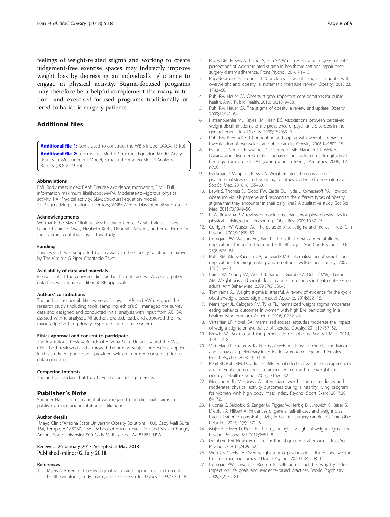<span id="page-7-0"></span>feelings of weight-related stigma and working to create judgement-free exercise spaces may indirectly improve weight loss by decreasing an individual's reluctance to engage in physical activity. Stigma-focused programs may therefore be a helpful complement the many nutrition- and exercised-focused programs traditionally offered to bariatric surgery patients.

# Additional files

[Additional file 1:](https://doi.org/10.1186/s40608-018-0195-3) Items used to construct the WBIS Index (DOCX 13 kb) [Additional file 2:](https://doi.org/10.1186/s40608-018-0195-3) a. Structural Model, Structural Equation Model Analysis Results. b. Measurement Model, Structural Equation Model Analysis Results (DOCX 19 kb)

#### Abbreviations

BMI: Body mass index; EAM: Exercise avoidance motivation; FIML: Full information maximum likelihood; MVPA: Moderate-to-vigorous physical activity; PA: Physical activity; SEM: Structural equation model; SSI: Stigmatizing situations inventory; WBIS: Weight bias internalization scale

#### Acknowledgements

We thank the Mayo Clinic Survey Research Center, Sarah Trainer, James Levine, Danielle Raves, Elizabeth Kurtz, Deborah Williams, and Erika Jermé for their various contributions to this study.

#### Funding

This research was supported by an award to the Obesity Solutions initiative by The Virginia G Piper Charitable Trust.

#### Availability of data and materials

Please contact the corresponding author for data access. Access to patient data files will require additional IRB approvals.

#### Authors' contributions

The authors' responsibilities were as follows – AB and AW designed the research study (including tools, sampling, ethics); SH managed the survey data and designed and conducted initial analysis with input from AB; GA assisted with re-analyses. All authors drafted, read, and approved the final manuscript; SH had primary responsibility for final content.

#### Ethics approval and consent to participate

The Institutional Review Boards of Arizona State University and the Mayo Clinic both reviewed and approved the human subject protections applied in this study. All participants provided written informed consents prior to data collection.

#### Competing interests

The authors declare that they have no competing interests.

# Publisher's Note

Springer Nature remains neutral with regard to jurisdictional claims in published maps and institutional affiliations.

#### Author details

<sup>1</sup>Mayo Clinic/Arizona State University Obesity Solutions, 1000 Cady Mall Suite 164, Tempe, AZ 85287, USA. <sup>2</sup>School of Human Evolution and Social Change, Arizona State University, 900 Cady Mall, Tempe, AZ 85287, USA.

#### Received: 26 January 2017 Accepted: 2 May 2018 Published online: 02 July 2018

### References

1. Myers A, Rosen JC. Obesity stigmatization and coping: relation to mental health symptoms, body image, and self-esteem. Int J Obes. 1999;23:221–30.

- 3. Papadopoulos S, Brennan L. Correlates of weight stigma in adults with overweight and obesity: a systematic literature review. Obesity. 2015;23: 1743–60.
- 4. Puhl RM, Heuer CA. Obesity stigma: important considerations for public health. Am J Public Health. 2010;100:1019–28.
- 5. Puhl RM, Heuer CA. The stigma of obesity: a review and update. Obesity. 2009;17:941–64.
- 6. Hatzenbuehler ML, Keyes KM, Hasin DS. Associations between perceived weight discrimination and the prevalence of psychiatric disorders in the general population. Obesity. 2009;17:2033–9.
- 7. Puhl RM, Brownell KD. Confronting and coping with weight stigma: an investigation of overweight and obese adults. Obesity. 2006;14:1802–15.
- 8. Haines J, Neumark-Sztainer D, Eisenberg ME, Hannan PJ. Weight teasing and disordered eating behaviors in adolescents: longitudinal findings from project EAT (eating among teens). Pediatrics. 2006;117: e209–15.
- 9. Hackman J, Maupin J, Brewis A. Weight-related stigma is a significant psychosocial stressor in developing countries: evidence from Guatemala. Soc Sci Med. 2016;161:55–60.
- 10. Lewis S, Thomas SL, Blood RW, Castle DJ, Hyde J, Komesaroff PA. How do obese individuals perceive and respond to the different types of obesity stigma that they encounter in their daily lives? A qualitative study. Soc Sci Med. 2011;73:1349–56.
- 11. Li W, Rukavina P. A review on coping mechanisms against obesity bias in physical activity/education settings. Obes Rev. 2009;10:87–95.
- 12. Corrigan PW, Watson AC. The paradox of self-stigma and mental illness. Clin Psychol. 2002;9(1):35–53.
- 13. Corrigan PW, Watson AC, Barr L. The self–stigma of mental illness: implications for self–esteem and self–efficacy. J Soc Clin Psychol. 2006; 25(8):875–84.
- 14. Puhl RM, Moss-Racusin CA, Schwartz MB. Internalization of weight bias: implications for binge eating and emotional well-being. Obesity. 2007; 15(1):19–23.
- 15. Carels RA, Young KM, Wott CB, Harper J, Gumble A, Oehlof MW, Clayton AM. Weight bias and weight loss treatment outcomes in treatment-seeking adults. Ann Behav Med. 2009;37(3):350–5.
- 16. Tomiyama AJ. Weight stigma is stressful. A review of evidence for the cyclic obesity/weight-based stigma model. Appetite. 2014;82:8–15.
- 17. Mensinger JL, Calogero RM, Tylka TL. Internalized weight stigma moderates eating behavior outcomes in women with high BMI participating in a healthy living program. Appetite. 2016;102:32–43.
- 18. Vartanian LR, Novak SA. Internalized societal attitudes moderate the impact of weight stigma on avoidance of exercise. Obesity. 2011;19:757–62.
- 19. Brewis AA. Stigma and the perpetuation of obesity. Soc Sci Med. 2014; 118:152–8.
- 20. Vartanian LR, Shaprow JG. Effects of weight stigma on exercise motivation and behavior a preliminary investigation among college-aged females. J Health Psychol. 2008;13:131–8.
- 21. Pearl RL, Puhl RM, Dovidio JF. Differential effects of weight bias experiences and internalization on exercise among women with overweight and obesity. J Health Psychol. 2015;20:1626–32.
- 22. Mensinger JL, Meadows A. Internalized weight stigma mediates and moderates physical activity outcomes during a healthy living program for women with high body mass index. Psychol Sport Exerc. 2017;30: 64–72.
- 23. Hübner C, Baldofski S, Zenger M, Tigges W, Herbig B, Jurowich C, Kaiser S, Dietrich A, Hilbert A. Influences of general self-efficacy and weight bias internalization on physical activity in bariatric surgery candidates. Surg Obes Relat Dis. 2015;11(6):1371–6.
- 24. Major B, Eliezer D, Rieck H. The psychological weight of weight stigma. Soc Psychol Personal Sci. 2012;3:651–8.
- 25. Granberg EM. Now my 'old self' is thin: stigma exits after weight loss. Soc Psychol Q. 2011;74:29–52.
- 26. Wott CB, Carels RA. Overt weight stigma, psychological distress and weight loss treatment outcomes. J Health Psychol. 2010;15(4):608–14.
- 27. Corrigan PW, Larson JE, Ruesch N. Self-stigma and the "why try" effect: impact on life goals and evidence-based practices. World Psychiatry. 2009;8(2):75–81.